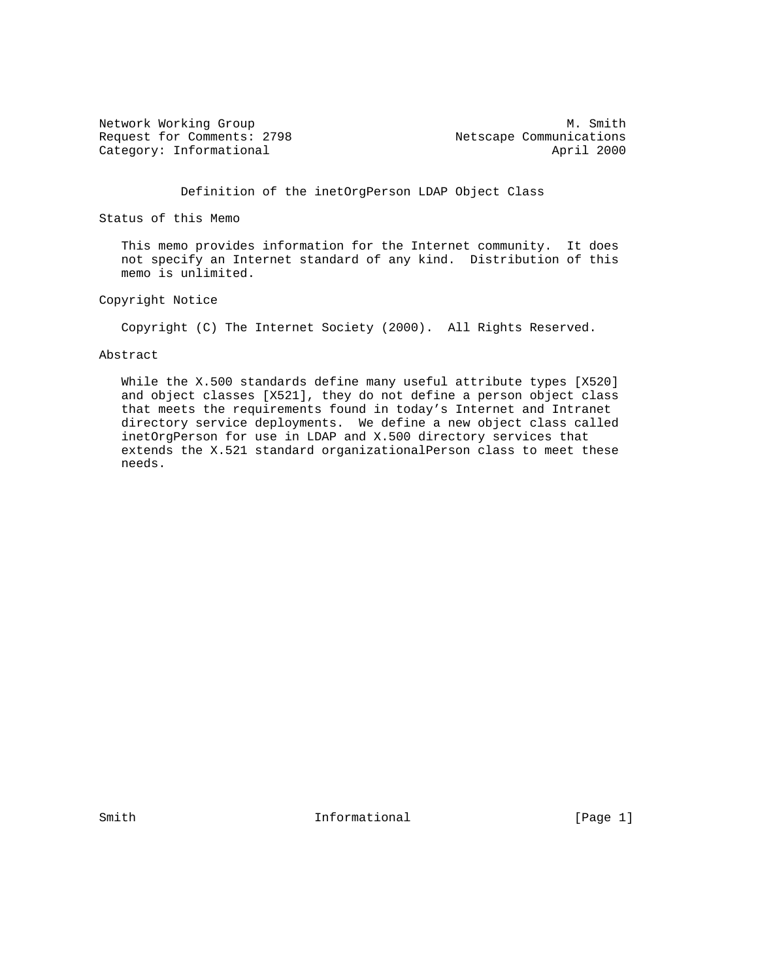Network Working Group Methods and the Music Methods of Music Music Music Music Music Music Music Music Music Mu Request for Comments: 2798 Netscape Communications<br>
Category: Informational April 2000 Category: Informational

Definition of the inetOrgPerson LDAP Object Class

Status of this Memo

 This memo provides information for the Internet community. It does not specify an Internet standard of any kind. Distribution of this memo is unlimited.

Copyright Notice

Copyright (C) The Internet Society (2000). All Rights Reserved.

#### Abstract

 While the X.500 standards define many useful attribute types [X520] and object classes [X521], they do not define a person object class that meets the requirements found in today's Internet and Intranet directory service deployments. We define a new object class called inetOrgPerson for use in LDAP and X.500 directory services that extends the X.521 standard organizationalPerson class to meet these needs.

Smith  $Informational$  [Page 1]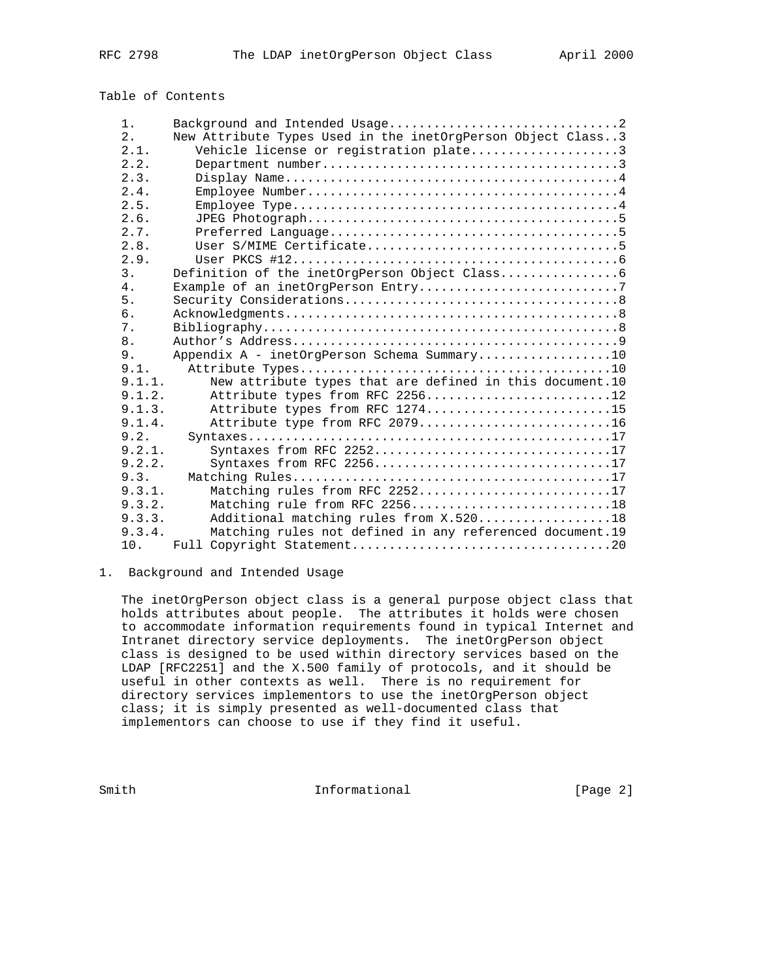# Table of Contents

| $1$ .  |                                                             |
|--------|-------------------------------------------------------------|
| 2.     | New Attribute Types Used in the inetOrgPerson Object Class3 |
| 2.1.   | Vehicle license or registration plate3                      |
| 2.2.   |                                                             |
| 2.3.   |                                                             |
| 2.4.   |                                                             |
| 2.5.   |                                                             |
| 2.6.   |                                                             |
| 2.7.   |                                                             |
| 2.8.   |                                                             |
| 2.9.   |                                                             |
| 3.     |                                                             |
| 4.     |                                                             |
| 5.     |                                                             |
| б.     |                                                             |
| 7.     |                                                             |
| 8.     |                                                             |
| 9.     | Appendix A - inetOrgPerson Schema Summary10                 |
| 9.1.   |                                                             |
| 9.1.1. | New attribute types that are defined in this document.10    |
| 9.1.2. | Attribute types from RFC 225612                             |
| 9.1.3. | Attribute types from RFC 127415                             |
| 9.1.4. | Attribute type from RFC 207916                              |
| 9.2.   |                                                             |
| 9.2.1. | Syntaxes from RFC 225217                                    |
| 9.2.2. | Syntaxes from RFC 225617                                    |
| 9.3.   |                                                             |
| 9.3.1. | Matching rules from RFC 225217                              |
| 9.3.2. | Matching rule from RFC 225618                               |
| 9.3.3. | Additional matching rules from X.52018                      |
| 9.3.4. | Matching rules not defined in any referenced document.19    |
| 10.    |                                                             |

### 1. Background and Intended Usage

 The inetOrgPerson object class is a general purpose object class that holds attributes about people. The attributes it holds were chosen to accommodate information requirements found in typical Internet and Intranet directory service deployments. The inetOrgPerson object class is designed to be used within directory services based on the LDAP [RFC2251] and the X.500 family of protocols, and it should be useful in other contexts as well. There is no requirement for directory services implementors to use the inetOrgPerson object class; it is simply presented as well-documented class that implementors can choose to use if they find it useful.

Smith  $Informational$  [Page 2]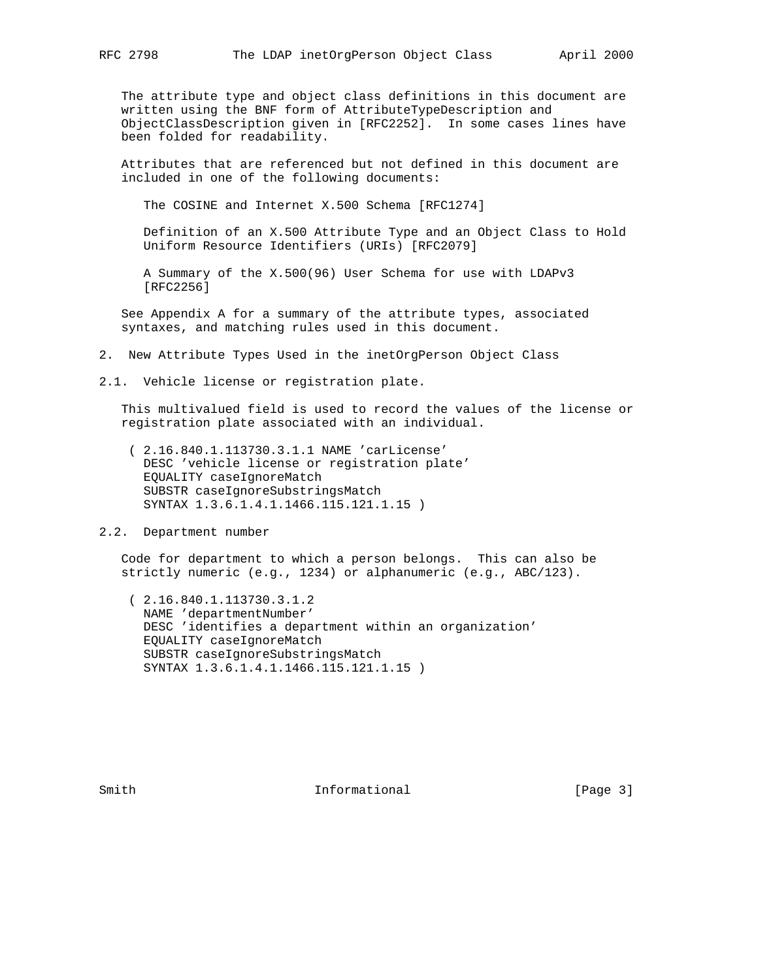The attribute type and object class definitions in this document are written using the BNF form of AttributeTypeDescription and ObjectClassDescription given in [RFC2252]. In some cases lines have been folded for readability.

 Attributes that are referenced but not defined in this document are included in one of the following documents:

The COSINE and Internet X.500 Schema [RFC1274]

 Definition of an X.500 Attribute Type and an Object Class to Hold Uniform Resource Identifiers (URIs) [RFC2079]

 A Summary of the X.500(96) User Schema for use with LDAPv3 [RFC2256]

 See Appendix A for a summary of the attribute types, associated syntaxes, and matching rules used in this document.

2. New Attribute Types Used in the inetOrgPerson Object Class

2.1. Vehicle license or registration plate.

 This multivalued field is used to record the values of the license or registration plate associated with an individual.

 ( 2.16.840.1.113730.3.1.1 NAME 'carLicense' DESC 'vehicle license or registration plate' EQUALITY caseIgnoreMatch SUBSTR caseIgnoreSubstringsMatch SYNTAX 1.3.6.1.4.1.1466.115.121.1.15 )

2.2. Department number

 Code for department to which a person belongs. This can also be strictly numeric (e.g., 1234) or alphanumeric (e.g., ABC/123).

 ( 2.16.840.1.113730.3.1.2 NAME 'departmentNumber' DESC 'identifies a department within an organization' EQUALITY caseIgnoreMatch SUBSTR caseIgnoreSubstringsMatch SYNTAX 1.3.6.1.4.1.1466.115.121.1.15 )

Smith  $Informational$  [Page 3]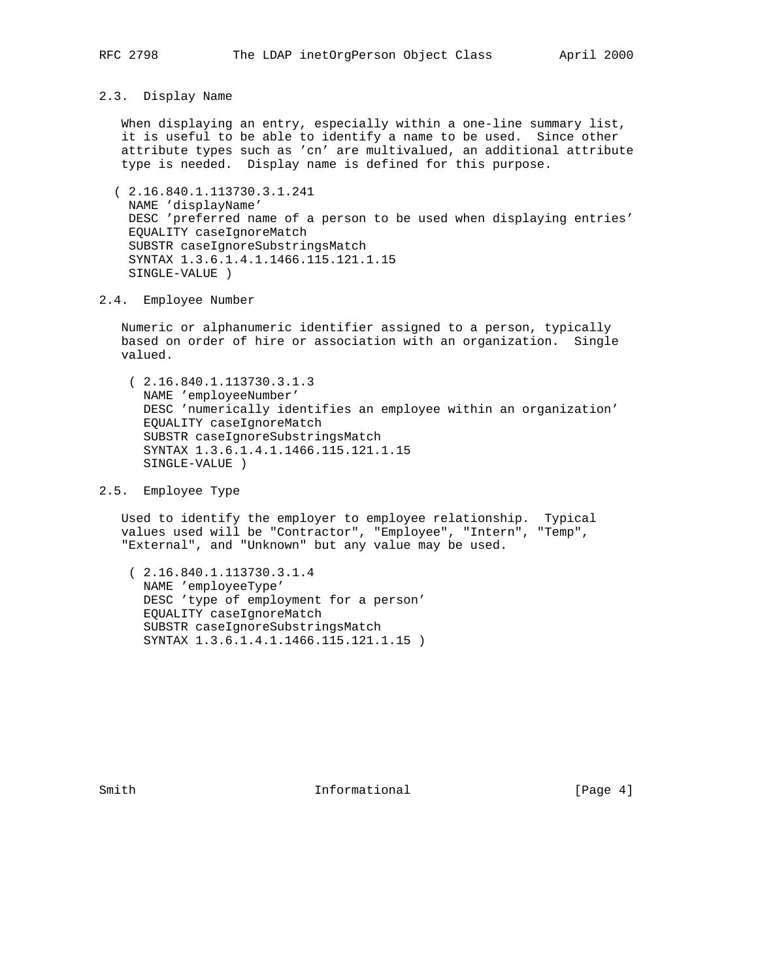#### 2.3. Display Name

 When displaying an entry, especially within a one-line summary list, it is useful to be able to identify a name to be used. Since other attribute types such as 'cn' are multivalued, an additional attribute type is needed. Display name is defined for this purpose.

 ( 2.16.840.1.113730.3.1.241 NAME 'displayName' DESC 'preferred name of a person to be used when displaying entries' EQUALITY caseIgnoreMatch SUBSTR caseIgnoreSubstringsMatch SYNTAX 1.3.6.1.4.1.1466.115.121.1.15 SINGLE-VALUE )

### 2.4. Employee Number

 Numeric or alphanumeric identifier assigned to a person, typically based on order of hire or association with an organization. Single valued.

 ( 2.16.840.1.113730.3.1.3 NAME 'employeeNumber' DESC 'numerically identifies an employee within an organization' EQUALITY caseIgnoreMatch SUBSTR caseIgnoreSubstringsMatch SYNTAX 1.3.6.1.4.1.1466.115.121.1.15 SINGLE-VALUE )

# 2.5. Employee Type

 Used to identify the employer to employee relationship. Typical values used will be "Contractor", "Employee", "Intern", "Temp", "External", and "Unknown" but any value may be used.

 ( 2.16.840.1.113730.3.1.4 NAME 'employeeType' DESC 'type of employment for a person' EQUALITY caseIgnoreMatch SUBSTR caseIgnoreSubstringsMatch SYNTAX 1.3.6.1.4.1.1466.115.121.1.15 )

Smith  $Informational$  [Page 4]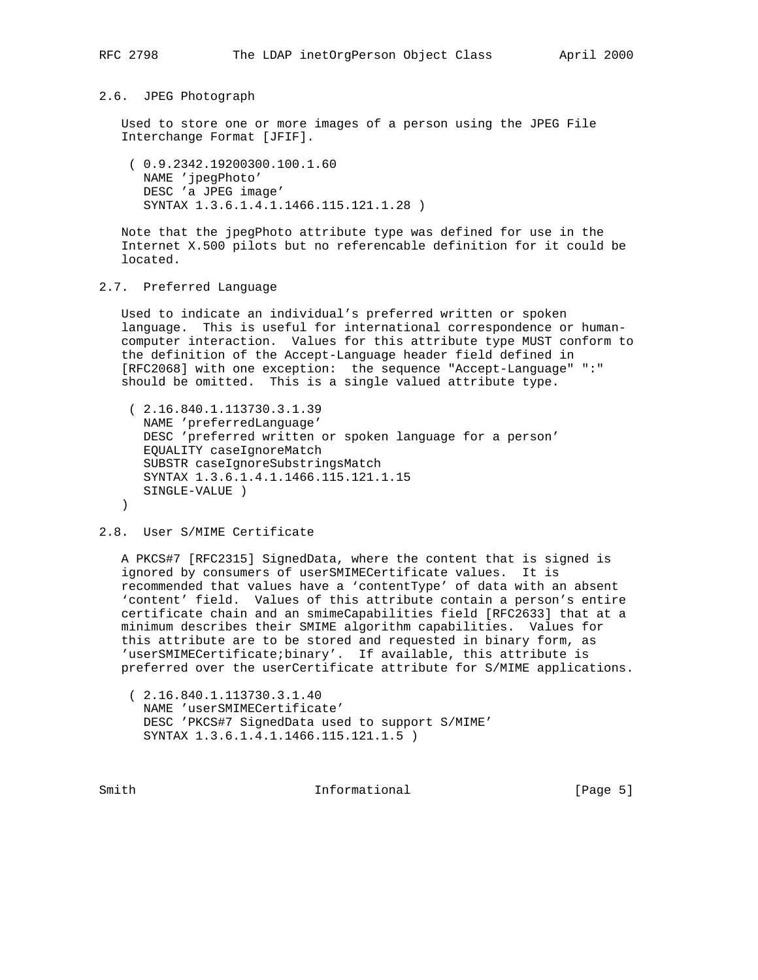#### 2.6. JPEG Photograph

 Used to store one or more images of a person using the JPEG File Interchange Format [JFIF].

 ( 0.9.2342.19200300.100.1.60 NAME 'jpegPhoto' DESC 'a JPEG image' SYNTAX 1.3.6.1.4.1.1466.115.121.1.28 )

 Note that the jpegPhoto attribute type was defined for use in the Internet X.500 pilots but no referencable definition for it could be located.

### 2.7. Preferred Language

 Used to indicate an individual's preferred written or spoken language. This is useful for international correspondence or human computer interaction. Values for this attribute type MUST conform to the definition of the Accept-Language header field defined in [RFC2068] with one exception: the sequence "Accept-Language" ":" should be omitted. This is a single valued attribute type.

```
 ( 2.16.840.1.113730.3.1.39
   NAME 'preferredLanguage'
    DESC 'preferred written or spoken language for a person'
    EQUALITY caseIgnoreMatch
    SUBSTR caseIgnoreSubstringsMatch
   SYNTAX 1.3.6.1.4.1.1466.115.121.1.15
   SINGLE-VALUE )
\lambda
```
#### 2.8. User S/MIME Certificate

 A PKCS#7 [RFC2315] SignedData, where the content that is signed is ignored by consumers of userSMIMECertificate values. It is recommended that values have a 'contentType' of data with an absent 'content' field. Values of this attribute contain a person's entire certificate chain and an smimeCapabilities field [RFC2633] that at a minimum describes their SMIME algorithm capabilities. Values for this attribute are to be stored and requested in binary form, as 'userSMIMECertificate;binary'. If available, this attribute is preferred over the userCertificate attribute for S/MIME applications.

 ( 2.16.840.1.113730.3.1.40 NAME 'userSMIMECertificate' DESC 'PKCS#7 SignedData used to support S/MIME' SYNTAX 1.3.6.1.4.1.1466.115.121.1.5 )

Smith  $Informational$  [Page 5]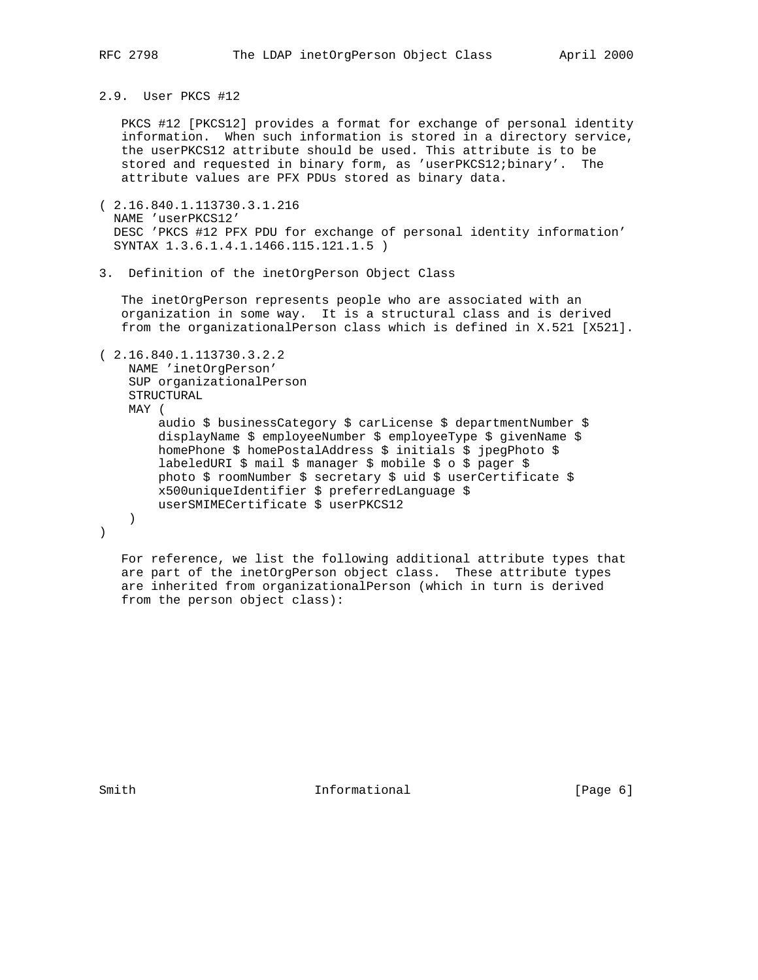# 2.9. User PKCS #12

 PKCS #12 [PKCS12] provides a format for exchange of personal identity information. When such information is stored in a directory service, the userPKCS12 attribute should be used. This attribute is to be stored and requested in binary form, as 'userPKCS12;binary'. The attribute values are PFX PDUs stored as binary data.

- ( 2.16.840.1.113730.3.1.216 NAME 'userPKCS12' DESC 'PKCS #12 PFX PDU for exchange of personal identity information' SYNTAX 1.3.6.1.4.1.1466.115.121.1.5 )
- 3. Definition of the inetOrgPerson Object Class

 The inetOrgPerson represents people who are associated with an organization in some way. It is a structural class and is derived from the organizationalPerson class which is defined in X.521 [X521].

#### ( 2.16.840.1.113730.3.2.2

```
 NAME 'inetOrgPerson'
    SUP organizationalPerson
    STRUCTURAL
    MAY (
         audio $ businessCategory $ carLicense $ departmentNumber $
         displayName $ employeeNumber $ employeeType $ givenName $
         homePhone $ homePostalAddress $ initials $ jpegPhoto $
         labeledURI $ mail $ manager $ mobile $ o $ pager $
         photo $ roomNumber $ secretary $ uid $ userCertificate $
         x500uniqueIdentifier $ preferredLanguage $
         userSMIMECertificate $ userPKCS12
    )
\left( \right)
```
 For reference, we list the following additional attribute types that are part of the inetOrgPerson object class. These attribute types are inherited from organizationalPerson (which in turn is derived from the person object class):

Smith  $Informational$  [Page 6]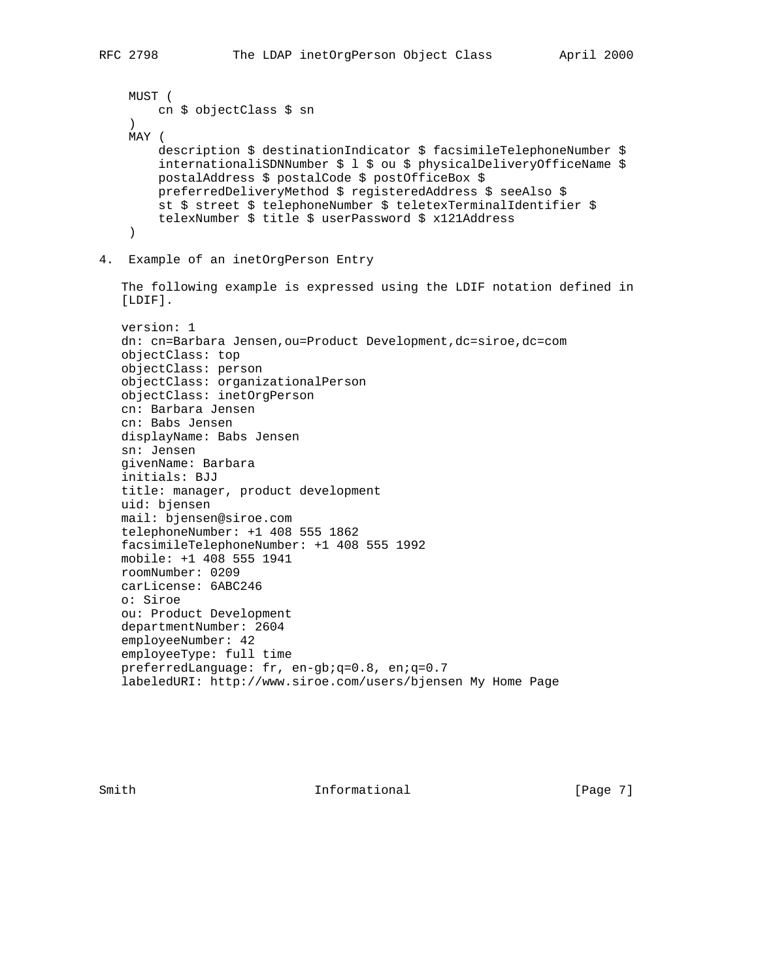```
 MUST (
        cn $ objectClass $ sn
    \left( \right) MAY (
         description $ destinationIndicator $ facsimileTelephoneNumber $
         internationaliSDNNumber $ l $ ou $ physicalDeliveryOfficeName $
         postalAddress $ postalCode $ postOfficeBox $
         preferredDeliveryMethod $ registeredAddress $ seeAlso $
         st $ street $ telephoneNumber $ teletexTerminalIdentifier $
         telexNumber $ title $ userPassword $ x121Address
     )
4. Example of an inetOrgPerson Entry
    The following example is expressed using the LDIF notation defined in
    [LDIF].
    version: 1
    dn: cn=Barbara Jensen,ou=Product Development,dc=siroe,dc=com
    objectClass: top
    objectClass: person
    objectClass: organizationalPerson
    objectClass: inetOrgPerson
   cn: Barbara Jensen
    cn: Babs Jensen
    displayName: Babs Jensen
    sn: Jensen
    givenName: Barbara
    initials: BJJ
    title: manager, product development
   uid: bjensen
   mail: bjensen@siroe.com
    telephoneNumber: +1 408 555 1862
    facsimileTelephoneNumber: +1 408 555 1992
   mobile: +1 408 555 1941
   roomNumber: 0209
    carLicense: 6ABC246
    o: Siroe
    ou: Product Development
    departmentNumber: 2604
    employeeNumber: 42
    employeeType: full time
   preferredLanguage: fr, en-gb;q=0.8, en;q=0.7
    labeledURI: http://www.siroe.com/users/bjensen My Home Page
```
Smith  $Informational$  [Page 7]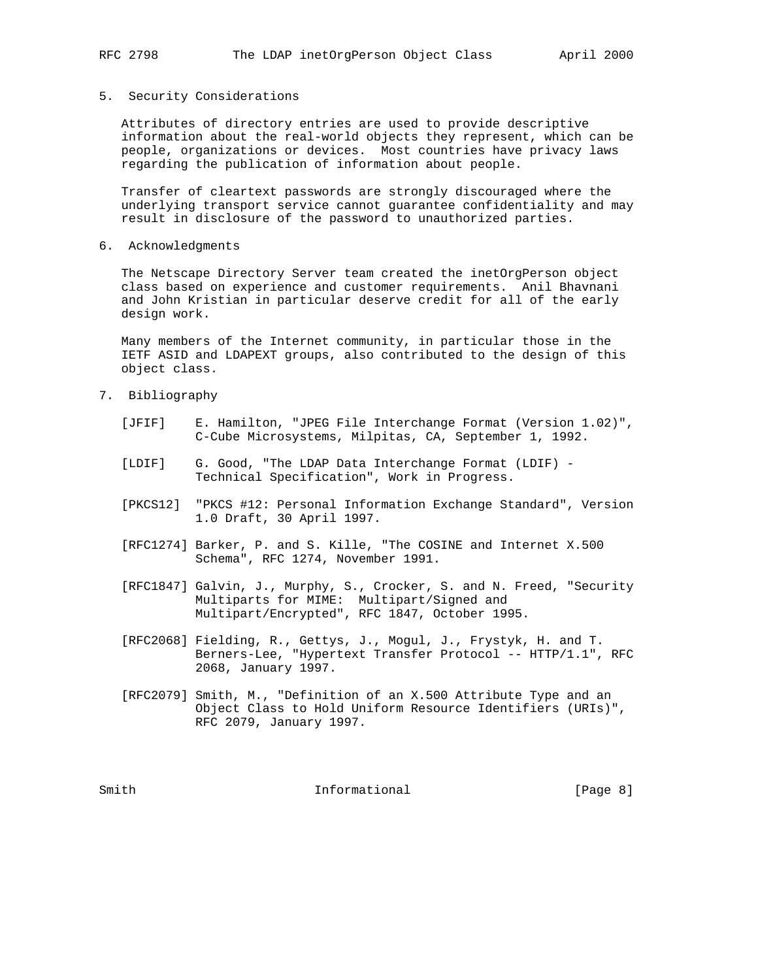#### 5. Security Considerations

 Attributes of directory entries are used to provide descriptive information about the real-world objects they represent, which can be people, organizations or devices. Most countries have privacy laws regarding the publication of information about people.

 Transfer of cleartext passwords are strongly discouraged where the underlying transport service cannot guarantee confidentiality and may result in disclosure of the password to unauthorized parties.

6. Acknowledgments

 The Netscape Directory Server team created the inetOrgPerson object class based on experience and customer requirements. Anil Bhavnani and John Kristian in particular deserve credit for all of the early design work.

 Many members of the Internet community, in particular those in the IETF ASID and LDAPEXT groups, also contributed to the design of this object class.

- 7. Bibliography
	- [JFIF] E. Hamilton, "JPEG File Interchange Format (Version 1.02)", C-Cube Microsystems, Milpitas, CA, September 1, 1992.
	- [LDIF] G. Good, "The LDAP Data Interchange Format (LDIF) Technical Specification", Work in Progress.
	- [PKCS12] "PKCS #12: Personal Information Exchange Standard", Version 1.0 Draft, 30 April 1997.
	- [RFC1274] Barker, P. and S. Kille, "The COSINE and Internet X.500 Schema", RFC 1274, November 1991.
	- [RFC1847] Galvin, J., Murphy, S., Crocker, S. and N. Freed, "Security Multiparts for MIME: Multipart/Signed and Multipart/Encrypted", RFC 1847, October 1995.
	- [RFC2068] Fielding, R., Gettys, J., Mogul, J., Frystyk, H. and T. Berners-Lee, "Hypertext Transfer Protocol -- HTTP/1.1", RFC 2068, January 1997.
	- [RFC2079] Smith, M., "Definition of an X.500 Attribute Type and an Object Class to Hold Uniform Resource Identifiers (URIs)", RFC 2079, January 1997.

Smith  $Informational$  [Page 8]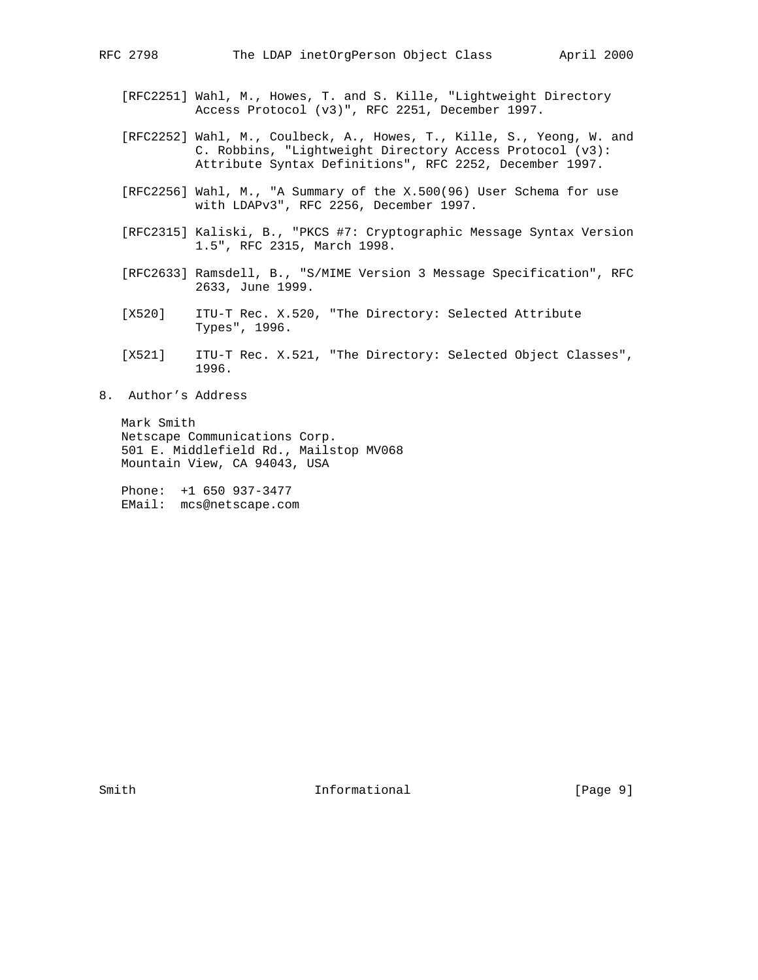- [RFC2251] Wahl, M., Howes, T. and S. Kille, "Lightweight Directory Access Protocol (v3)", RFC 2251, December 1997.
- [RFC2252] Wahl, M., Coulbeck, A., Howes, T., Kille, S., Yeong, W. and C. Robbins, "Lightweight Directory Access Protocol (v3): Attribute Syntax Definitions", RFC 2252, December 1997.
- [RFC2256] Wahl, M., "A Summary of the X.500(96) User Schema for use with LDAPv3", RFC 2256, December 1997.
- [RFC2315] Kaliski, B., "PKCS #7: Cryptographic Message Syntax Version 1.5", RFC 2315, March 1998.
- [RFC2633] Ramsdell, B., "S/MIME Version 3 Message Specification", RFC 2633, June 1999.
- [X520] ITU-T Rec. X.520, "The Directory: Selected Attribute Types", 1996.
- [X521] ITU-T Rec. X.521, "The Directory: Selected Object Classes", 1996.
- 8. Author's Address

 Mark Smith Netscape Communications Corp. 501 E. Middlefield Rd., Mailstop MV068 Mountain View, CA 94043, USA

 Phone: +1 650 937-3477 EMail: mcs@netscape.com

Smith  $Informational$  [Page 9]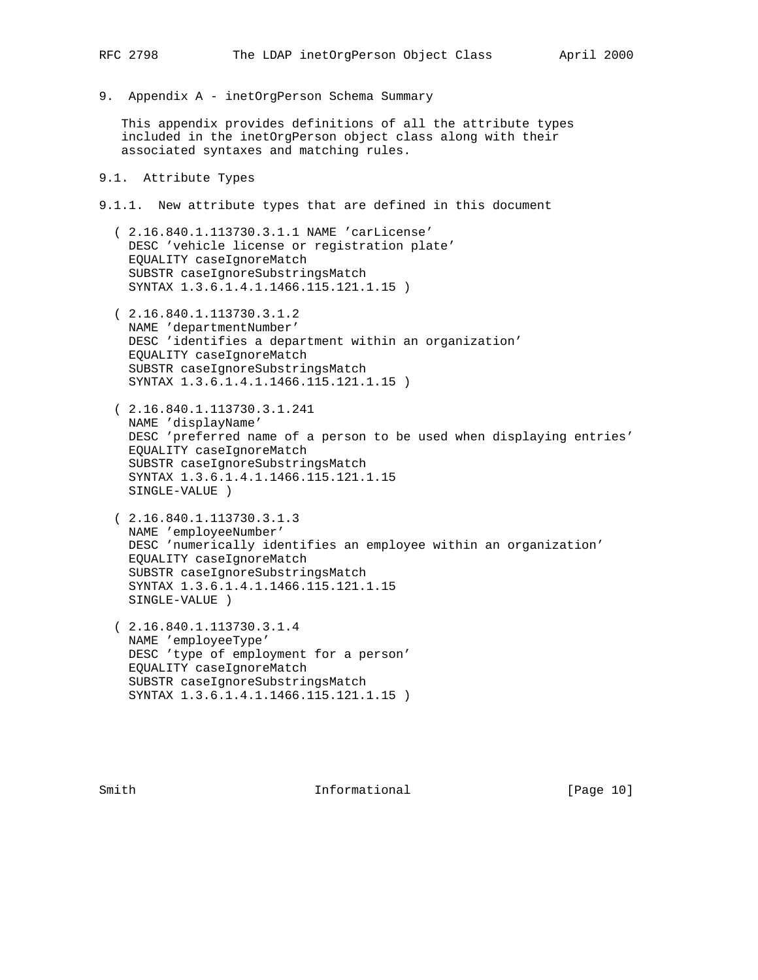9. Appendix A - inetOrgPerson Schema Summary

 This appendix provides definitions of all the attribute types included in the inetOrgPerson object class along with their associated syntaxes and matching rules.

### 9.1. Attribute Types

9.1.1. New attribute types that are defined in this document

- ( 2.16.840.1.113730.3.1.1 NAME 'carLicense' DESC 'vehicle license or registration plate' EQUALITY caseIgnoreMatch SUBSTR caseIgnoreSubstringsMatch SYNTAX 1.3.6.1.4.1.1466.115.121.1.15 )
- ( 2.16.840.1.113730.3.1.2 NAME 'departmentNumber' DESC 'identifies a department within an organization' EQUALITY caseIgnoreMatch SUBSTR caseIgnoreSubstringsMatch SYNTAX 1.3.6.1.4.1.1466.115.121.1.15 )
- ( 2.16.840.1.113730.3.1.241 NAME 'displayName' DESC 'preferred name of a person to be used when displaying entries' EQUALITY caseIgnoreMatch SUBSTR caseIgnoreSubstringsMatch SYNTAX 1.3.6.1.4.1.1466.115.121.1.15 SINGLE-VALUE )
- ( 2.16.840.1.113730.3.1.3 NAME 'employeeNumber' DESC 'numerically identifies an employee within an organization' EQUALITY caseIgnoreMatch SUBSTR caseIgnoreSubstringsMatch SYNTAX 1.3.6.1.4.1.1466.115.121.1.15 SINGLE-VALUE )
- ( 2.16.840.1.113730.3.1.4 NAME 'employeeType' DESC 'type of employment for a person' EQUALITY caseIgnoreMatch SUBSTR caseIgnoreSubstringsMatch SYNTAX 1.3.6.1.4.1.1466.115.121.1.15 )

Smith **Informational** [Page 10]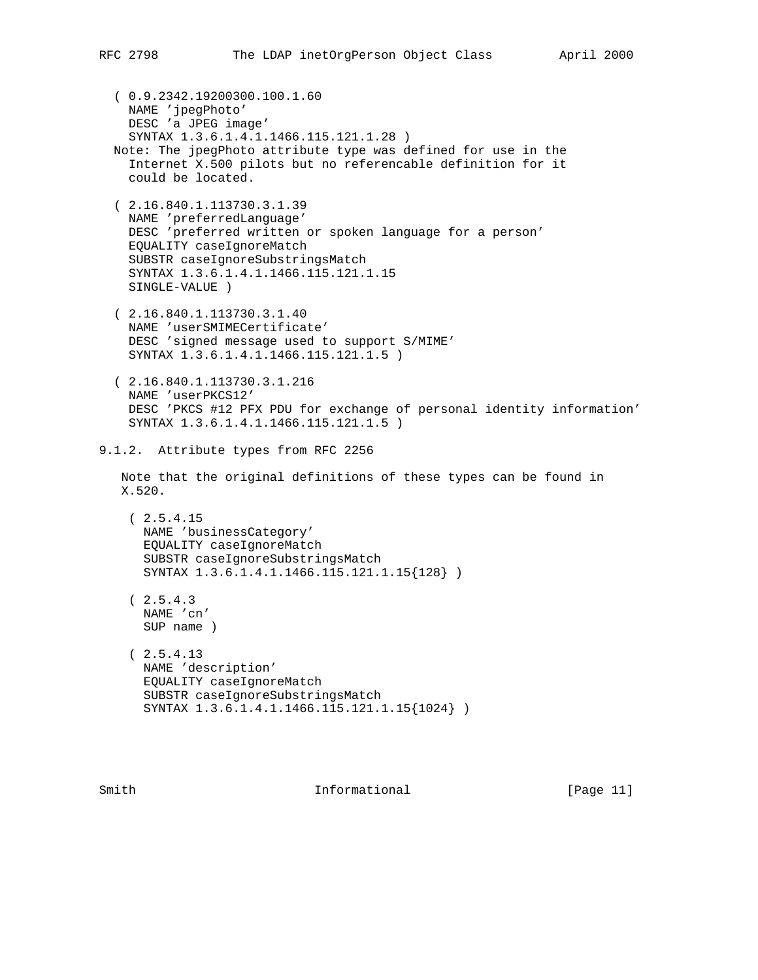( 0.9.2342.19200300.100.1.60 NAME 'jpegPhoto' DESC 'a JPEG image' SYNTAX 1.3.6.1.4.1.1466.115.121.1.28 ) Note: The jpegPhoto attribute type was defined for use in the Internet X.500 pilots but no referencable definition for it could be located. ( 2.16.840.1.113730.3.1.39 NAME 'preferredLanguage' DESC 'preferred written or spoken language for a person' EQUALITY caseIgnoreMatch SUBSTR caseIgnoreSubstringsMatch SYNTAX 1.3.6.1.4.1.1466.115.121.1.15 SINGLE-VALUE ) ( 2.16.840.1.113730.3.1.40 NAME 'userSMIMECertificate' DESC 'signed message used to support S/MIME' SYNTAX 1.3.6.1.4.1.1466.115.121.1.5 ) ( 2.16.840.1.113730.3.1.216 NAME 'userPKCS12' DESC 'PKCS #12 PFX PDU for exchange of personal identity information' SYNTAX 1.3.6.1.4.1.1466.115.121.1.5 ) 9.1.2. Attribute types from RFC 2256 Note that the original definitions of these types can be found in X.520. ( 2.5.4.15 NAME 'businessCategory' EQUALITY caseIgnoreMatch SUBSTR caseIgnoreSubstringsMatch SYNTAX 1.3.6.1.4.1.1466.115.121.1.15{128} )  $(2.5.4.3)$  NAME 'cn' SUP name )  $(2.5.4.13)$  NAME 'description' EQUALITY caseIgnoreMatch SUBSTR caseIgnoreSubstringsMatch SYNTAX 1.3.6.1.4.1.1466.115.121.1.15{1024} )

Smith  $Informational$  [Page 11]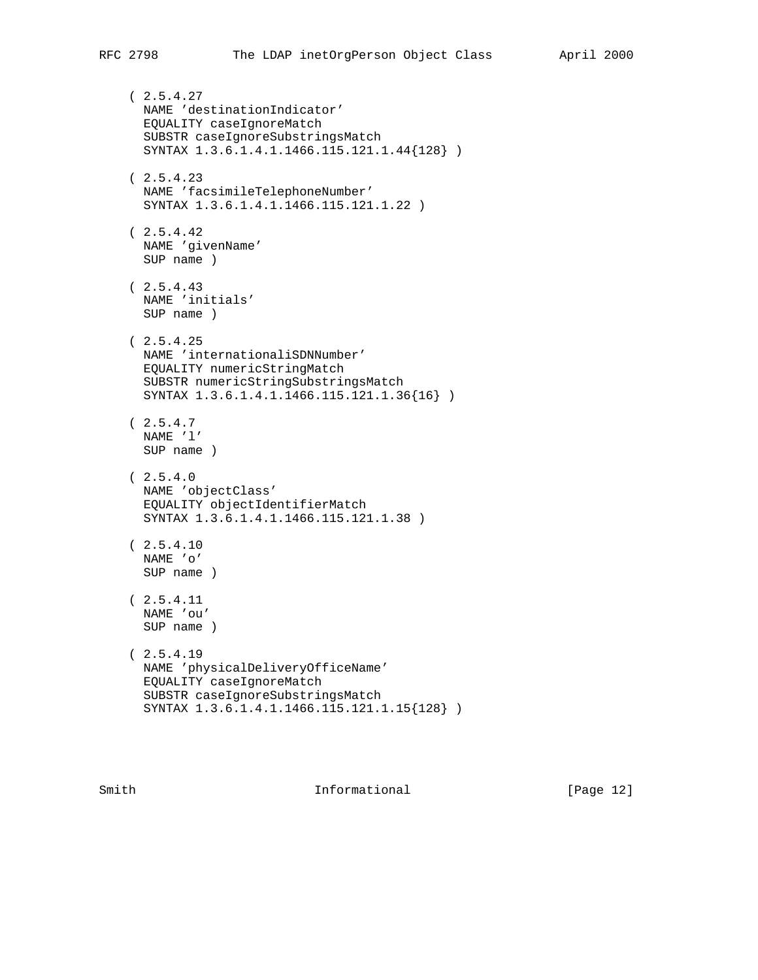$(2.5.4.27)$  NAME 'destinationIndicator' EQUALITY caseIgnoreMatch SUBSTR caseIgnoreSubstringsMatch SYNTAX 1.3.6.1.4.1.1466.115.121.1.44{128} )  $(2.5.4.23)$  NAME 'facsimileTelephoneNumber' SYNTAX 1.3.6.1.4.1.1466.115.121.1.22 )  $(2.5.4.42)$  NAME 'givenName' SUP name )  $(2.5.4.43)$  NAME 'initials' SUP name )  $(2.5.4.25)$  NAME 'internationaliSDNNumber' EQUALITY numericStringMatch SUBSTR numericStringSubstringsMatch SYNTAX 1.3.6.1.4.1.1466.115.121.1.36{16} )  $(2.5.4.7)$  NAME 'l' SUP name )  $(2.5.4.0$  NAME 'objectClass' EQUALITY objectIdentifierMatch SYNTAX 1.3.6.1.4.1.1466.115.121.1.38 )  $(2.5.4.10$  NAME 'o' SUP name ) ( 2.5.4.11 NAME 'ou' SUP name )  $(2.5.4.19$  NAME 'physicalDeliveryOfficeName' EQUALITY caseIgnoreMatch SUBSTR caseIgnoreSubstringsMatch SYNTAX 1.3.6.1.4.1.1466.115.121.1.15{128} )

Smith **Informational Informational** [Page 12]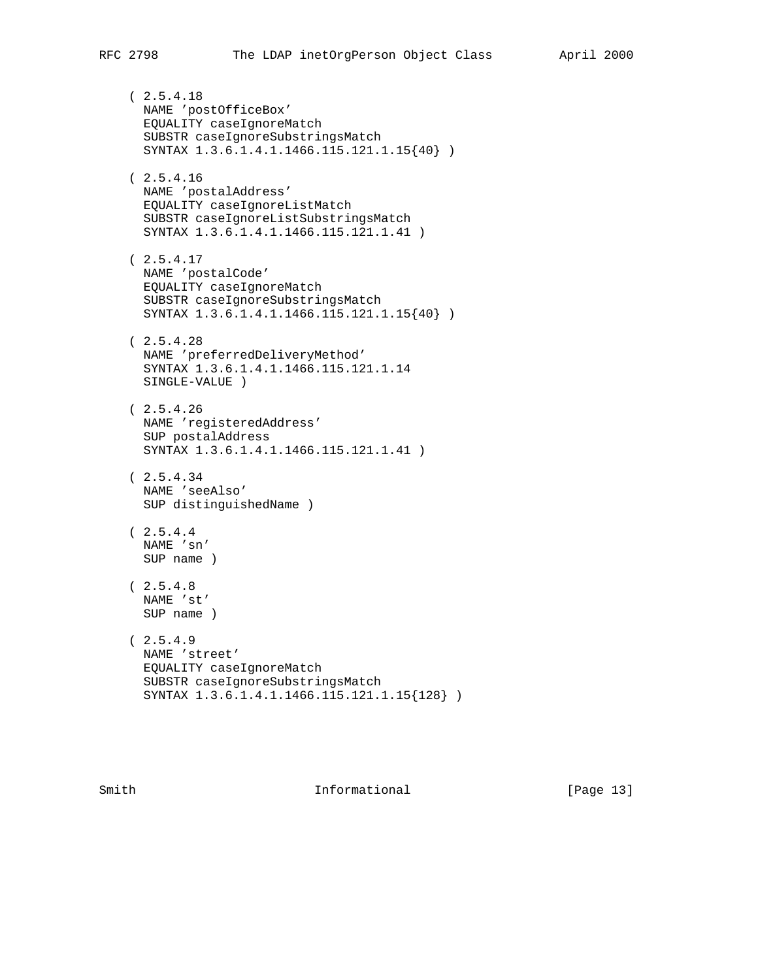( 2.5.4.18 NAME 'postOfficeBox' EQUALITY caseIgnoreMatch SUBSTR caseIgnoreSubstringsMatch SYNTAX 1.3.6.1.4.1.1466.115.121.1.15{40} ) ( 2.5.4.16 NAME 'postalAddress' EQUALITY caseIgnoreListMatch SUBSTR caseIgnoreListSubstringsMatch SYNTAX 1.3.6.1.4.1.1466.115.121.1.41 ) ( 2.5.4.17 NAME 'postalCode' EQUALITY caseIgnoreMatch SUBSTR caseIgnoreSubstringsMatch SYNTAX 1.3.6.1.4.1.1466.115.121.1.15{40} )  $(2.5.4.28)$  NAME 'preferredDeliveryMethod' SYNTAX 1.3.6.1.4.1.1466.115.121.1.14 SINGLE-VALUE )  $(2.5.4.26)$  NAME 'registeredAddress' SUP postalAddress SYNTAX 1.3.6.1.4.1.1466.115.121.1.41 )  $(2.5.4.34)$  NAME 'seeAlso' SUP distinguishedName )  $(2.5.4.4)$  NAME 'sn' SUP name )  $(2.5.4.8$  NAME 'st' SUP name )  $(2.5.4.9$  NAME 'street' EQUALITY caseIgnoreMatch SUBSTR caseIgnoreSubstringsMatch SYNTAX 1.3.6.1.4.1.1466.115.121.1.15{128} )

Smith **Informational Informational** [Page 13]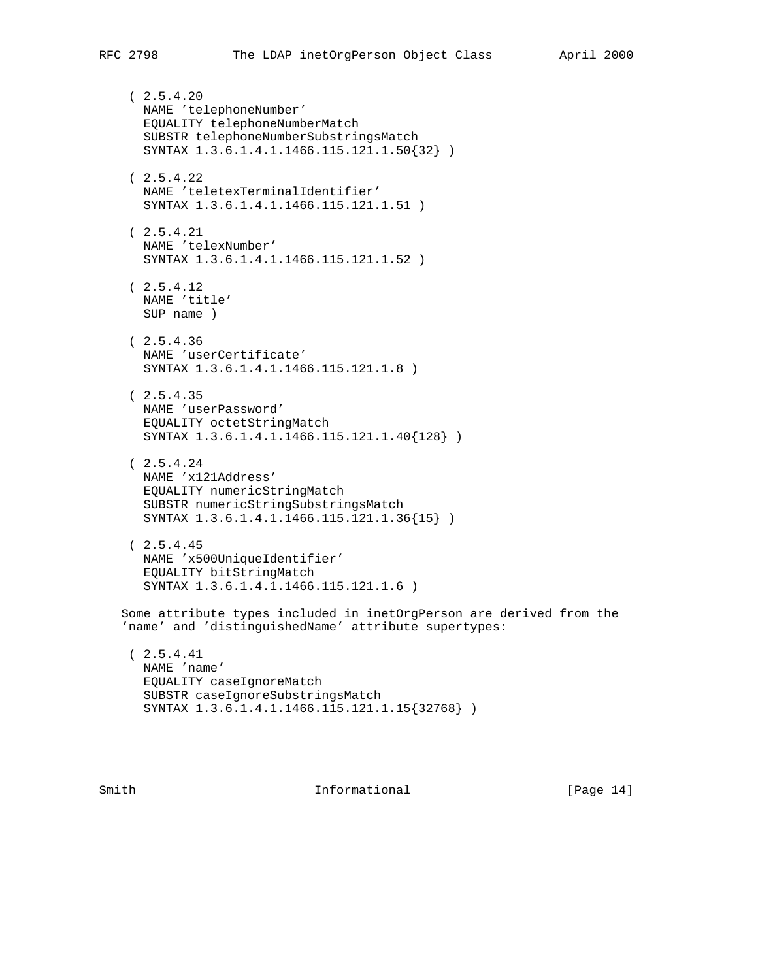$(2.5.4.20)$  NAME 'telephoneNumber' EQUALITY telephoneNumberMatch SUBSTR telephoneNumberSubstringsMatch SYNTAX 1.3.6.1.4.1.1466.115.121.1.50{32} )  $(2.5.4.22)$  NAME 'teletexTerminalIdentifier' SYNTAX 1.3.6.1.4.1.1466.115.121.1.51 ) ( 2.5.4.21 NAME 'telexNumber' SYNTAX 1.3.6.1.4.1.1466.115.121.1.52 )  $(2.5.4.12)$  NAME 'title' SUP name ) ( 2.5.4.36 NAME 'userCertificate' SYNTAX 1.3.6.1.4.1.1466.115.121.1.8 )  $(2.5.4.35)$  NAME 'userPassword' EQUALITY octetStringMatch SYNTAX 1.3.6.1.4.1.1466.115.121.1.40{128} )  $(2.5.4.24)$  NAME 'x121Address' EQUALITY numericStringMatch SUBSTR numericStringSubstringsMatch SYNTAX 1.3.6.1.4.1.1466.115.121.1.36{15} ) ( 2.5.4.45 NAME 'x500UniqueIdentifier' EQUALITY bitStringMatch SYNTAX 1.3.6.1.4.1.1466.115.121.1.6 ) Some attribute types included in inetOrgPerson are derived from the 'name' and 'distinguishedName' attribute supertypes: ( 2.5.4.41 NAME 'name' EQUALITY caseIgnoreMatch SUBSTR caseIgnoreSubstringsMatch SYNTAX 1.3.6.1.4.1.1466.115.121.1.15{32768} )

Smith  $Informational$  [Page 14]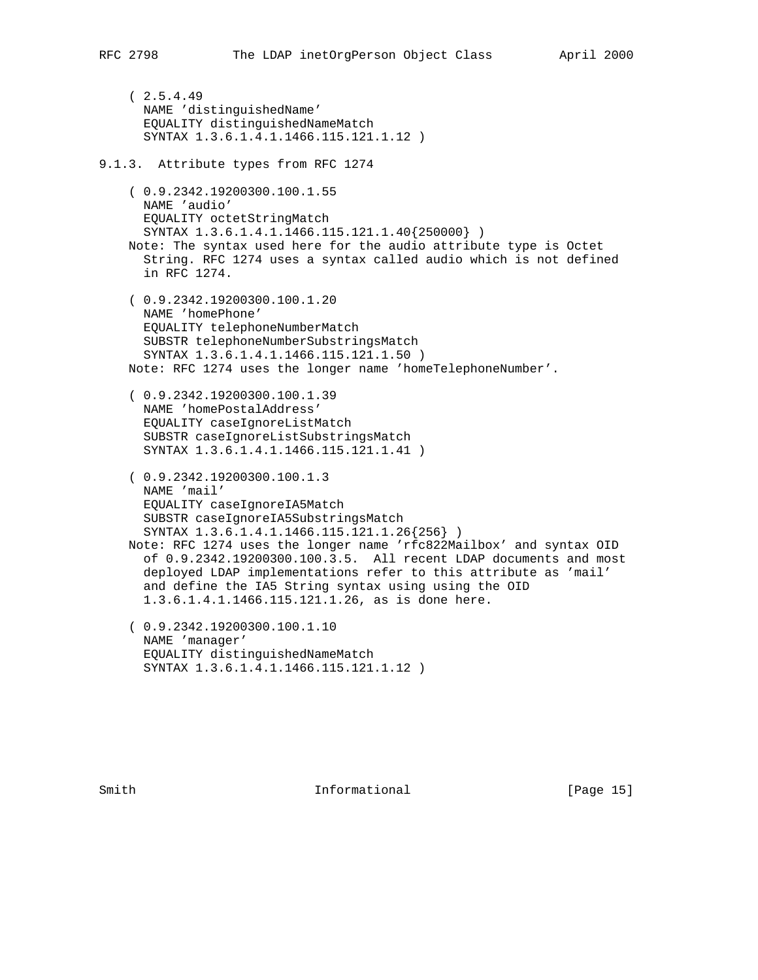$(2.5.4.49)$  NAME 'distinguishedName' EQUALITY distinguishedNameMatch SYNTAX 1.3.6.1.4.1.1466.115.121.1.12 ) 9.1.3. Attribute types from RFC 1274 ( 0.9.2342.19200300.100.1.55 NAME 'audio' EQUALITY octetStringMatch SYNTAX 1.3.6.1.4.1.1466.115.121.1.40{250000} ) Note: The syntax used here for the audio attribute type is Octet String. RFC 1274 uses a syntax called audio which is not defined in RFC 1274. ( 0.9.2342.19200300.100.1.20 NAME 'homePhone' EQUALITY telephoneNumberMatch SUBSTR telephoneNumberSubstringsMatch SYNTAX 1.3.6.1.4.1.1466.115.121.1.50 ) Note: RFC 1274 uses the longer name 'homeTelephoneNumber'. ( 0.9.2342.19200300.100.1.39 NAME 'homePostalAddress' EQUALITY caseIgnoreListMatch SUBSTR caseIgnoreListSubstringsMatch SYNTAX 1.3.6.1.4.1.1466.115.121.1.41 ) ( 0.9.2342.19200300.100.1.3 NAME 'mail' EQUALITY caseIgnoreIA5Match SUBSTR caseIgnoreIA5SubstringsMatch SYNTAX 1.3.6.1.4.1.1466.115.121.1.26{256} ) Note: RFC 1274 uses the longer name 'rfc822Mailbox' and syntax OID of 0.9.2342.19200300.100.3.5. All recent LDAP documents and most deployed LDAP implementations refer to this attribute as 'mail' and define the IA5 String syntax using using the OID 1.3.6.1.4.1.1466.115.121.1.26, as is done here. ( 0.9.2342.19200300.100.1.10 NAME 'manager' EQUALITY distinguishedNameMatch SYNTAX 1.3.6.1.4.1.1466.115.121.1.12 )

Smith **Informational Informational** [Page 15]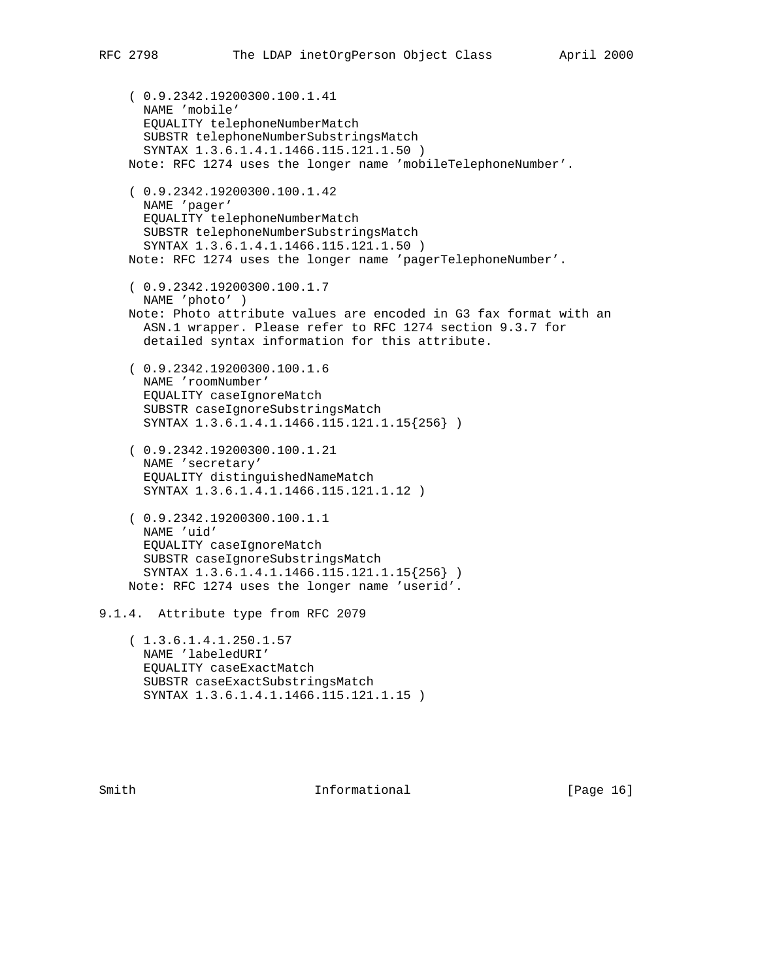```
 ( 0.9.2342.19200300.100.1.41
       NAME 'mobile'
       EQUALITY telephoneNumberMatch
       SUBSTR telephoneNumberSubstringsMatch
       SYNTAX 1.3.6.1.4.1.1466.115.121.1.50 )
     Note: RFC 1274 uses the longer name 'mobileTelephoneNumber'.
     ( 0.9.2342.19200300.100.1.42
       NAME 'pager'
       EQUALITY telephoneNumberMatch
       SUBSTR telephoneNumberSubstringsMatch
       SYNTAX 1.3.6.1.4.1.1466.115.121.1.50 )
     Note: RFC 1274 uses the longer name 'pagerTelephoneNumber'.
     ( 0.9.2342.19200300.100.1.7
      NAME 'photo' )
     Note: Photo attribute values are encoded in G3 fax format with an
      ASN.1 wrapper. Please refer to RFC 1274 section 9.3.7 for
       detailed syntax information for this attribute.
     ( 0.9.2342.19200300.100.1.6
       NAME 'roomNumber'
       EQUALITY caseIgnoreMatch
       SUBSTR caseIgnoreSubstringsMatch
       SYNTAX 1.3.6.1.4.1.1466.115.121.1.15{256} )
     ( 0.9.2342.19200300.100.1.21
       NAME 'secretary'
       EQUALITY distinguishedNameMatch
       SYNTAX 1.3.6.1.4.1.1466.115.121.1.12 )
     ( 0.9.2342.19200300.100.1.1
       NAME 'uid'
       EQUALITY caseIgnoreMatch
       SUBSTR caseIgnoreSubstringsMatch
       SYNTAX 1.3.6.1.4.1.1466.115.121.1.15{256} )
     Note: RFC 1274 uses the longer name 'userid'.
9.1.4. Attribute type from RFC 2079
     ( 1.3.6.1.4.1.250.1.57
      NAME 'labeledURI'
       EQUALITY caseExactMatch
```
Smith **Informational Informational** [Page 16]

SUBSTR caseExactSubstringsMatch

SYNTAX 1.3.6.1.4.1.1466.115.121.1.15 )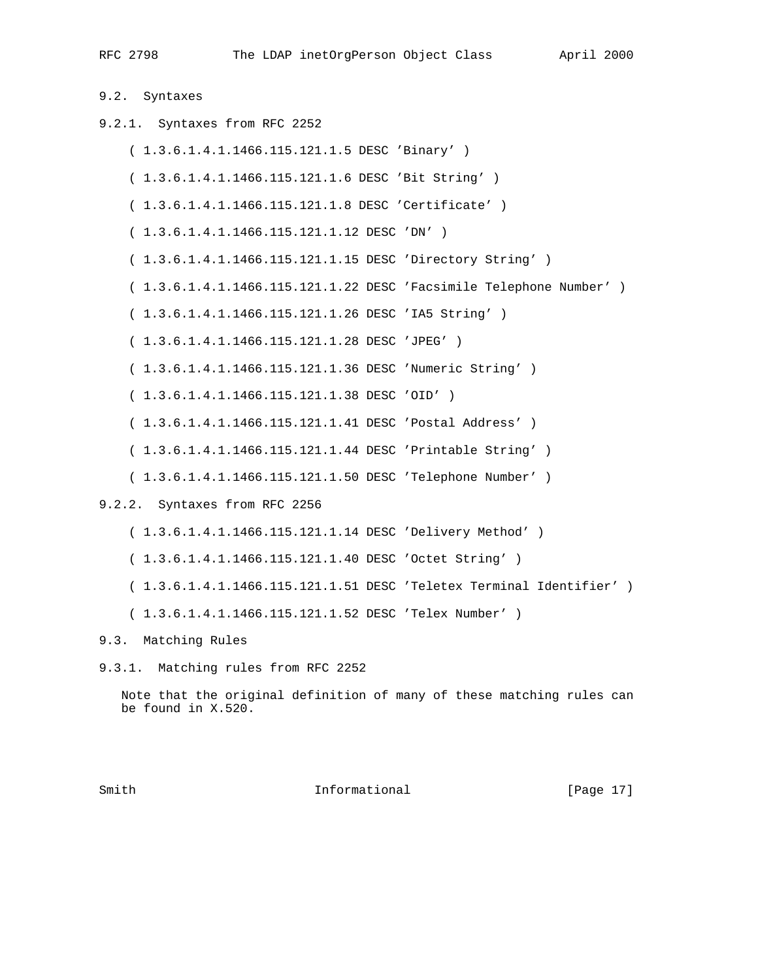9.2. Syntaxes

9.2.1. Syntaxes from RFC 2252 ( 1.3.6.1.4.1.1466.115.121.1.5 DESC 'Binary' ) ( 1.3.6.1.4.1.1466.115.121.1.6 DESC 'Bit String' ) ( 1.3.6.1.4.1.1466.115.121.1.8 DESC 'Certificate' ) ( 1.3.6.1.4.1.1466.115.121.1.12 DESC 'DN' ) ( 1.3.6.1.4.1.1466.115.121.1.15 DESC 'Directory String' ) ( 1.3.6.1.4.1.1466.115.121.1.22 DESC 'Facsimile Telephone Number' ) ( 1.3.6.1.4.1.1466.115.121.1.26 DESC 'IA5 String' ) ( 1.3.6.1.4.1.1466.115.121.1.28 DESC 'JPEG' ) ( 1.3.6.1.4.1.1466.115.121.1.36 DESC 'Numeric String' ) ( 1.3.6.1.4.1.1466.115.121.1.38 DESC 'OID' ) ( 1.3.6.1.4.1.1466.115.121.1.41 DESC 'Postal Address' ) ( 1.3.6.1.4.1.1466.115.121.1.44 DESC 'Printable String' ) ( 1.3.6.1.4.1.1466.115.121.1.50 DESC 'Telephone Number' ) 9.2.2. Syntaxes from RFC 2256 ( 1.3.6.1.4.1.1466.115.121.1.14 DESC 'Delivery Method' ) ( 1.3.6.1.4.1.1466.115.121.1.40 DESC 'Octet String' )

( 1.3.6.1.4.1.1466.115.121.1.51 DESC 'Teletex Terminal Identifier' )

( 1.3.6.1.4.1.1466.115.121.1.52 DESC 'Telex Number' )

## 9.3. Matching Rules

9.3.1. Matching rules from RFC 2252

 Note that the original definition of many of these matching rules can be found in X.520.

Smith **Informational Informational** [Page 17]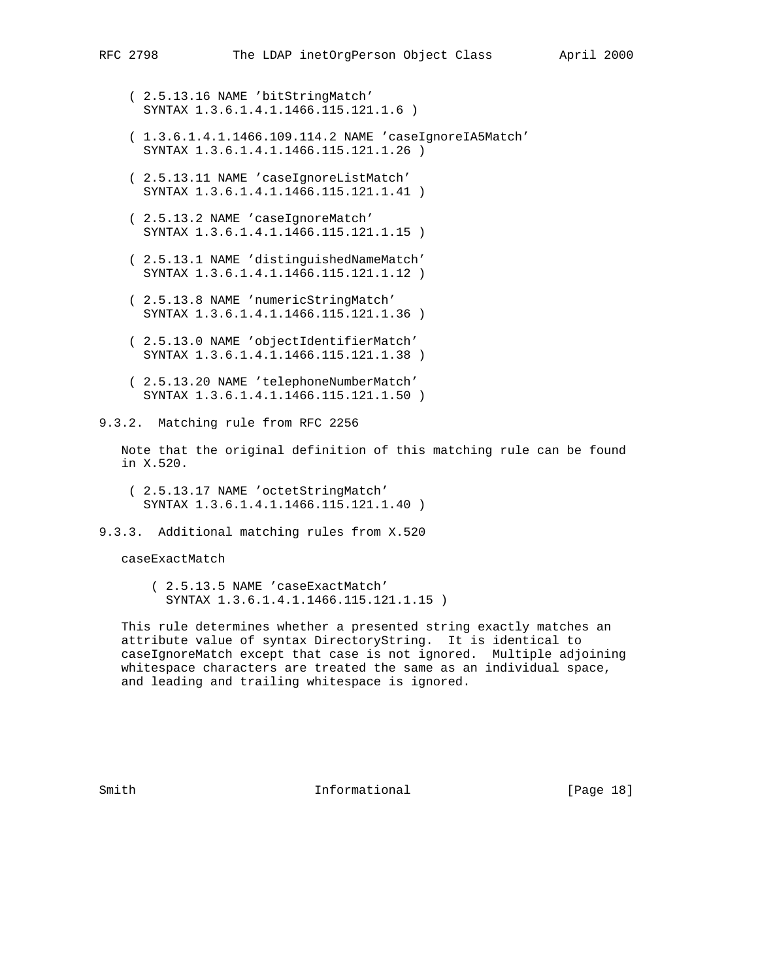- ( 2.5.13.16 NAME 'bitStringMatch' SYNTAX 1.3.6.1.4.1.1466.115.121.1.6 )
- ( 1.3.6.1.4.1.1466.109.114.2 NAME 'caseIgnoreIA5Match' SYNTAX 1.3.6.1.4.1.1466.115.121.1.26 )
- ( 2.5.13.11 NAME 'caseIgnoreListMatch' SYNTAX 1.3.6.1.4.1.1466.115.121.1.41 )
- ( 2.5.13.2 NAME 'caseIgnoreMatch' SYNTAX 1.3.6.1.4.1.1466.115.121.1.15 )
- ( 2.5.13.1 NAME 'distinguishedNameMatch' SYNTAX 1.3.6.1.4.1.1466.115.121.1.12 )
- ( 2.5.13.8 NAME 'numericStringMatch' SYNTAX 1.3.6.1.4.1.1466.115.121.1.36 )
- ( 2.5.13.0 NAME 'objectIdentifierMatch' SYNTAX 1.3.6.1.4.1.1466.115.121.1.38 )
- ( 2.5.13.20 NAME 'telephoneNumberMatch' SYNTAX 1.3.6.1.4.1.1466.115.121.1.50 )

9.3.2. Matching rule from RFC 2256

 Note that the original definition of this matching rule can be found in X.520.

- ( 2.5.13.17 NAME 'octetStringMatch' SYNTAX 1.3.6.1.4.1.1466.115.121.1.40 )
- 9.3.3. Additional matching rules from X.520

caseExactMatch

 ( 2.5.13.5 NAME 'caseExactMatch' SYNTAX 1.3.6.1.4.1.1466.115.121.1.15 )

 This rule determines whether a presented string exactly matches an attribute value of syntax DirectoryString. It is identical to caseIgnoreMatch except that case is not ignored. Multiple adjoining whitespace characters are treated the same as an individual space, and leading and trailing whitespace is ignored.

Smith **Informational** [Page 18]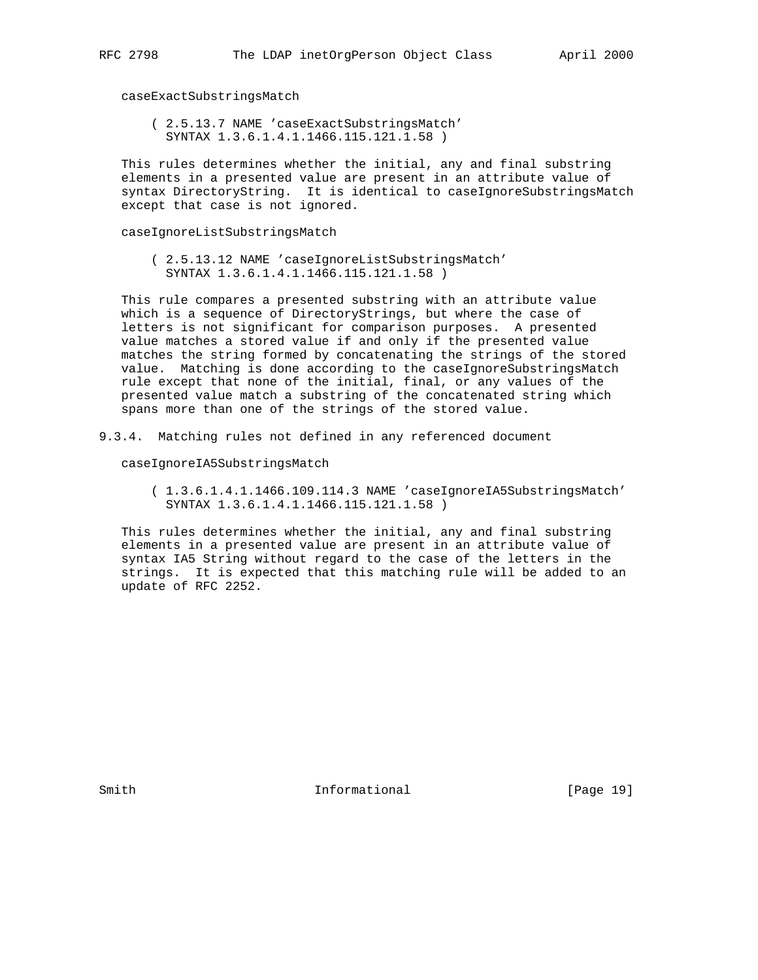caseExactSubstringsMatch

 ( 2.5.13.7 NAME 'caseExactSubstringsMatch' SYNTAX 1.3.6.1.4.1.1466.115.121.1.58 )

 This rules determines whether the initial, any and final substring elements in a presented value are present in an attribute value of syntax DirectoryString. It is identical to caseIgnoreSubstringsMatch except that case is not ignored.

caseIgnoreListSubstringsMatch

 ( 2.5.13.12 NAME 'caseIgnoreListSubstringsMatch' SYNTAX 1.3.6.1.4.1.1466.115.121.1.58 )

 This rule compares a presented substring with an attribute value which is a sequence of DirectoryStrings, but where the case of letters is not significant for comparison purposes. A presented value matches a stored value if and only if the presented value matches the string formed by concatenating the strings of the stored value. Matching is done according to the caseIgnoreSubstringsMatch rule except that none of the initial, final, or any values of the presented value match a substring of the concatenated string which spans more than one of the strings of the stored value.

9.3.4. Matching rules not defined in any referenced document

caseIgnoreIA5SubstringsMatch

 ( 1.3.6.1.4.1.1466.109.114.3 NAME 'caseIgnoreIA5SubstringsMatch' SYNTAX 1.3.6.1.4.1.1466.115.121.1.58 )

 This rules determines whether the initial, any and final substring elements in a presented value are present in an attribute value of syntax IA5 String without regard to the case of the letters in the strings. It is expected that this matching rule will be added to an update of RFC 2252.

Smith **Informational Informational** [Page 19]